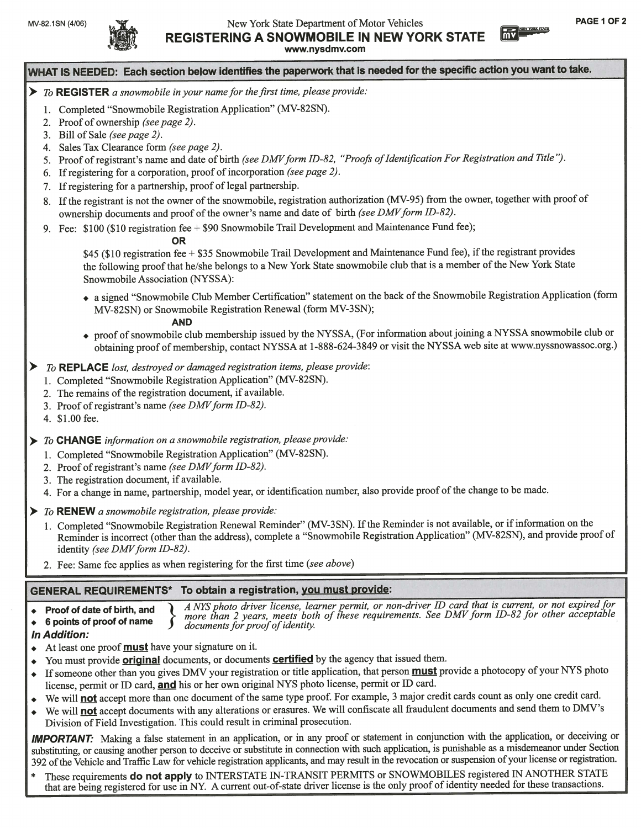

## MV-82.1SN (4/06) WEW York State Department of Motor Vehicles **PAGE 1 OF 2** REGISTERING A SNOWMOBILE IN NEW YORK STATE

WHAT IS NEEDED: Each section below identifies the paperwork that is needed for the specific action you want to take.

- $\triangleright$  To REGISTER a snowmobile in your name for the first time, please provide:
	- 1. Completed "Snowmobile Registration Application" (MV-82SN).
	- 2. Proof of ownership *(see page 2)*.
	- 3. Bill of Sale (see page 2).
	- 4. Sales Tax Clearance form *(see page 2)*.
	- 5. Proof of registrant's name and date of birth (see DMV form ID-82, "Proofs of Identification For Registration and Title").
	- 6. Ifregistering for <sup>a</sup> corporation, proo<sup>f</sup> of incorporation (see page 2).
	- 7. If registering for a partnership, proof of legal partnership.
	- 8. If the registrant is not the owner of the snowmobile, registration authorization (MV-95) from the owner, together with proof of ownership documents and proof of the owner's name and date of birth (see DMV form ID-82).
	- 9. Fee: \$100 (\$10 registration fee + \$90 Snowmobile Trail Development and Maintenance Fund fee);

### OR

\$45 (\$10 registration fee + \$35 Snowmobile Trail Development and Maintenance Fund fee), if the registrant provides the following proof that he/she belongs to a New York State snowmobile club that is a member of the New York State Snowmobile Association (NYSSA):

, <sup>a</sup> signed "Snowmobile Club Member Certification" statement on the back ofthe Snowmobile Registration Application (form MV-825N) or Snowmobile Registration Renewal (form MV-35N);

### AND

- . proo<sup>f</sup> ofsnowmobile club membership issued by the NYSSA, (For information aboutjoining <sup>a</sup> NYSSA snowmobile club or obtaining proof of membership, contact NYSSA at 1-888-624-3849 or visit the NYSSA web site at www.nyssnowassoc.org.)
- To REPLACE lost, destroyed or damaged registration items, please provide:
	- 1. Completed "Snowmobile Registration Application" (MV-825N).
	- 2. The remains of the registration document, if available.
	- 3. Proof of registrant's name (see DMV form ID-82).
	- 4. \$1.00 fee.
- To CHANGE information on a snowmobile registration, please provide:
	- 1. Completed "Snowmobile Registration Application" (MV-82SN).
	- 2. Proof of registrant's name (see DMV form ID-82).
	- 3. The registration document, if available.
	- 4. For a change in name, partnership, model year, or identification number, also provide proof of the change to be made.
- To RENEW a snowmobile registration, please provide:
- 1. Completed "Snowmobile Registration Renewal Reminder" (MV-3SN). If the Reminder is not available, or if information on the Reminder is incorrect (other than the address), complete <sup>a</sup> "Snowmobile Registration Application" (MV-82SN), and provide proo<sup>f</sup> of identity (see  $DMV$  form ID-82).
- 2. Fee: Same fee applies as when registering for the first time (see above)

## GENERAL REQUIREMENTS\* To obtain <sup>a</sup> registration, you must provide:

 $\bullet$  Proof of date of birth, and  $\bullet$  A NYS photo driver license, learner permit, or non-driver ID card that is current, or not expired for 6 points of proof of name  $\sum_{documents}$  from all of these requirements. See DMV form ID-82 for other acceptable

- In Addition:
- $\triangleleft$  At least one proof **must** have your signature on it.
- You must provide **original** documents, or documents **certified** by the agency that issued them.
- If someone other than you gives DMV your registration or title application, that person **must** provide a photocopy of your NYS photo license, permit or ID card, and his or her own original NYS photo license, permit or ID card.
- We will **not** accept more than one document of the same type proof. For example, 3 major credit cards count as only one credit card.
- We will **not** accept documents with any alterations or erasures. We will confiscate all fraudulent documents and send them to DMV's Division of Field Investigation. This could result in criminal prosecution.

IMPORTANT: Making a false statement in an application, or in any proof or statement in conjunction with the application, or deceiving or substituting, or causing another person to deceive or substitute in connection with such application, is punishable as <sup>a</sup> misdemeanor under Section <sup>392</sup> ofthe Vehicle and Traffic Law for vehicle registration applicants, and may result in the revocation or suspension ofyour license or registration.

These requirements do not apply to INTERSTATE IN-TRANSIT PERMITS or SNOWMOBILES registered IN ANOTHER STATE that are being registered for use in NY. <sup>A</sup> current out-of-state driver license is the only proo<sup>f</sup> of identity needed for these transactions.